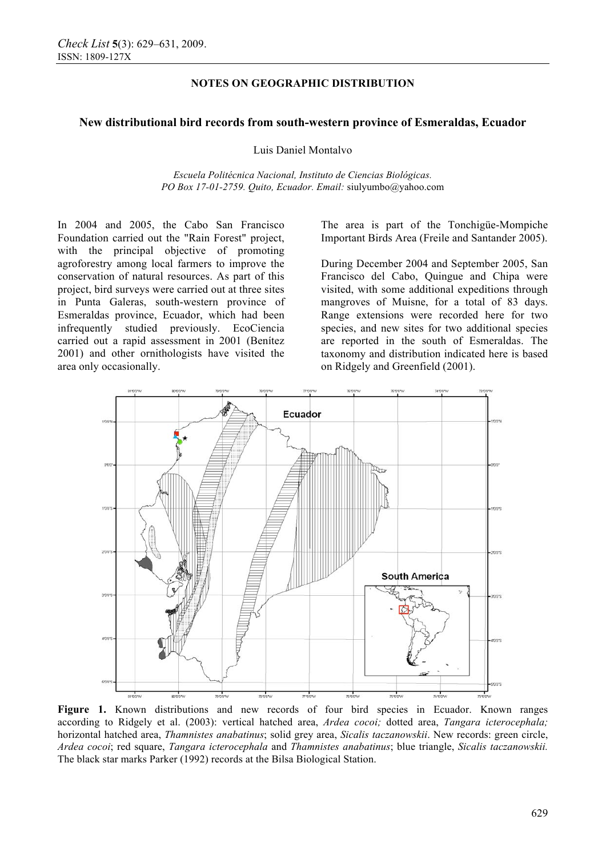# **NOTES ON GEOGRAPHIC DISTRIBUTION**

### **New distributional bird records from south-western province of Esmeraldas, Ecuador**

Luis Daniel Montalvo

*Escuela Politécnica Nacional, Instituto de Ciencias Biológicas. PO Box 17-01-2759. Quito, Ecuador. Email:* siulyumbo@yahoo.com

In 2004 and 2005, the Cabo San Francisco Foundation carried out the "Rain Forest" project, with the principal objective of promoting agroforestry among local farmers to improve the conservation of natural resources. As part of this project, bird surveys were carried out at three sites in Punta Galeras, south-western province of Esmeraldas province, Ecuador, which had been infrequently studied previously. EcoCiencia carried out a rapid assessment in 2001 (Benítez 2001) and other ornithologists have visited the area only occasionally.

The area is part of the Tonchigüe-Mompiche Important Birds Area (Freile and Santander 2005).

During December 2004 and September 2005, San Francisco del Cabo, Quingue and Chipa were visited, with some additional expeditions through mangroves of Muisne, for a total of 83 days. Range extensions were recorded here for two species, and new sites for two additional species are reported in the south of Esmeraldas. The taxonomy and distribution indicated here is based on Ridgely and Greenfield (2001).



Figure 1. Known distributions and new records of four bird species in Ecuador. Known ranges according to Ridgely et al. (2003): vertical hatched area, *Ardea cocoi;* dotted area, *Tangara icterocephala;* horizontal hatched area, *Thamnistes anabatinus*; solid grey area, *Sicalis taczanowskii*. New records: green circle, *Ardea cocoi*; red square, *Tangara icterocephala* and *Thamnistes anabatinus*; blue triangle, *Sicalis taczanowskii.* The black star marks Parker (1992) records at the Bilsa Biological Station.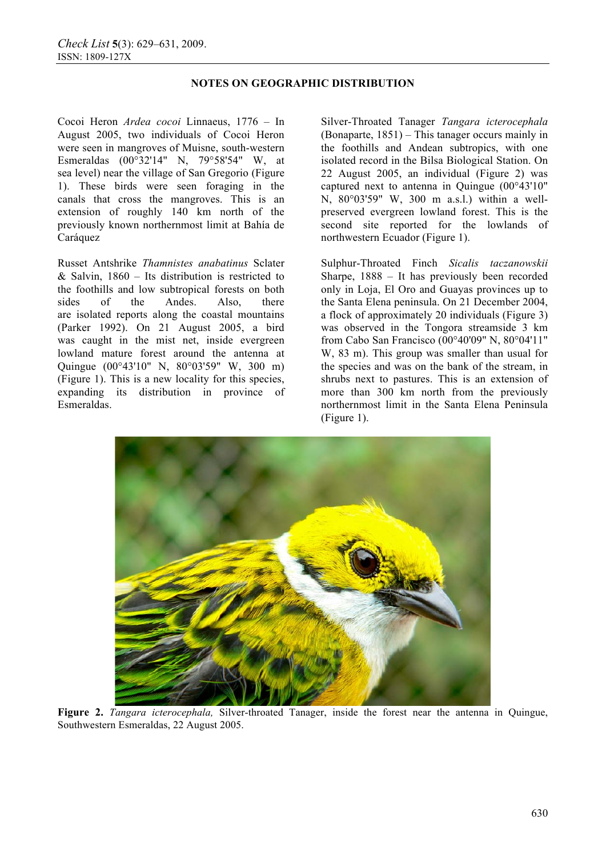## **NOTES ON GEOGRAPHIC DISTRIBUTION**

Cocoi Heron *Ardea cocoi* Linnaeus, 1776 – In August 2005, two individuals of Cocoi Heron were seen in mangroves of Muisne, south-western Esmeraldas (00°32'14" N, 79°58'54" W, at sea level) near the village of San Gregorio (Figure 1). These birds were seen foraging in the canals that cross the mangroves. This is an extension of roughly 140 km north of the previously known northernmost limit at Bahía de Caráquez

Russet Antshrike *Thamnistes anabatinus* Sclater & Salvin,  $1860 -$  Its distribution is restricted to the foothills and low subtropical forests on both sides of the Andes. Also, there are isolated reports along the coastal mountains (Parker 1992). On 21 August 2005, a bird was caught in the mist net, inside evergreen lowland mature forest around the antenna at Quingue (00°43'10" N, 80°03'59" W, 300 m) (Figure 1). This is a new locality for this species, expanding its distribution in province of Esmeraldas.

Silver-Throated Tanager *Tangara icterocephala*  (Bonaparte, 1851) – This tanager occurs mainly in the foothills and Andean subtropics, with one isolated record in the Bilsa Biological Station. On 22 August 2005, an individual (Figure 2) was captured next to antenna in Quingue (00°43'10" N, 80°03'59" W, 300 m a.s.l.) within a wellpreserved evergreen lowland forest. This is the second site reported for the lowlands of northwestern Ecuador (Figure 1).

Sulphur-Throated Finch *Sicalis taczanowskii*  Sharpe, 1888 – It has previously been recorded only in Loja, El Oro and Guayas provinces up to the Santa Elena peninsula. On 21 December 2004, a flock of approximately 20 individuals (Figure 3) was observed in the Tongora streamside 3 km from Cabo San Francisco (00°40'09" N, 80°04'11" W, 83 m). This group was smaller than usual for the species and was on the bank of the stream, in shrubs next to pastures. This is an extension of more than 300 km north from the previously northernmost limit in the Santa Elena Peninsula (Figure 1).



**Figure 2.** *Tangara icterocephala,* Silver-throated Tanager, inside the forest near the antenna in Quingue, Southwestern Esmeraldas, 22 August 2005.